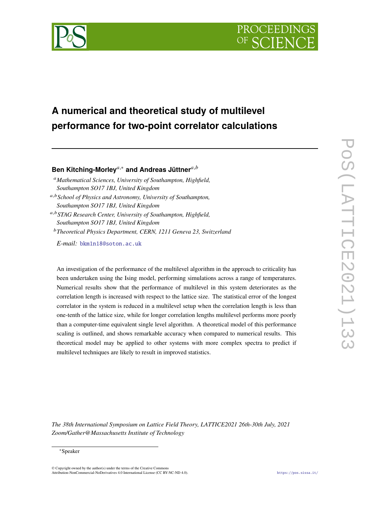



# **A numerical and theoretical study of multilevel performance for two-point correlator calculations**

# **Ben Kitching-Morley**<sup>a,∗</sup> and Andreas Jüttner<sup>a,b</sup>

*Mathematical Sciences, University of Southampton, Highfield, Southampton SO17 1BJ, United Kingdom*

,*School of Physics and Astronomy, University of Southampton, Southampton SO17 1BJ, United Kingdom*

,*STAG Research Center, University of Southampton, Highfield, Southampton SO17 1BJ, United Kingdom*

*Theoretical Physics Department, CERN, 1211 Geneva 23, Switzerland*

*E-mail:* [bkm1n18@soton.ac.uk](mailto:bkm1n18@soton.ac.uk)

An investigation of the performance of the multilevel algorithm in the approach to criticality has been undertaken using the Ising model, performing simulations across a range of temperatures. Numerical results show that the performance of multilevel in this system deteriorates as the correlation length is increased with respect to the lattice size. The statistical error of the longest correlator in the system is reduced in a multilevel setup when the correlation length is less than one-tenth of the lattice size, while for longer correlation lengths multilevel performs more poorly than a computer-time equivalent single level algorithm. A theoretical model of this performance scaling is outlined, and shows remarkable accuracy when compared to numerical results. This theoretical model may be applied to other systems with more complex spectra to predict if multilevel techniques are likely to result in improved statistics.

*The 38th International Symposium on Lattice Field Theory, LATTICE2021 26th-30th July, 2021 Zoom/Gather@Massachusetts Institute of Technology*

#### <sup>∗</sup>Speaker

 $\odot$  Copyright owned by the author(s) under the terms of the Creative Common Attribution-NonCommercial-NoDerivatives 4.0 International License (CC BY-NC-ND 4.0). <https://pos.sissa.it/>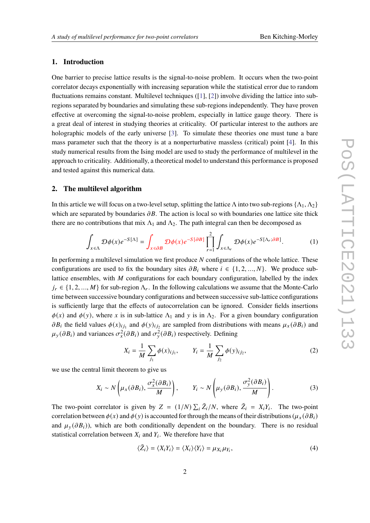# **1. Introduction**

One barrier to precise lattice results is the signal-to-noise problem. It occurs when the two-point correlator decays exponentially with increasing separation while the statistical error due to random fluctuations remains constant. Multilevel techniques ([\[1\]](#page-8-0), [\[2\]](#page-8-1)) involve dividing the lattice into subregions separated by boundaries and simulating these sub-regions independently. They have proven effective at overcoming the signal-to-noise problem, especially in lattice gauge theory. There is a great deal of interest in studying theories at criticality. Of particular interest to the authors are holographic models of the early universe [\[3\]](#page-8-2). To simulate these theories one must tune a bare mass parameter such that the theory is at a nonperturbative massless (critical) point [\[4\]](#page-8-3). In this study numerical results from the Ising model are used to study the performance of multilevel in the approach to criticality. Additionally, a theoretical model to understand this performance is proposed and tested against this numerical data.

# **2. The multilevel algorithm**

In this article we will focus on a two-level setup, splitting the lattice Λ into two sub-regions  $\{\Lambda_1, \Lambda_2\}$ which are separated by boundaries  $\partial B$ . The action is local so with boundaries one lattice site thick there are no contributions that mix  $\Lambda_1$  and  $\Lambda_2$ . The path integral can then be decomposed as

$$
\int_{x \in \Lambda} \mathcal{D}\phi(x) e^{-S[\Lambda]} = \int_{x \in \partial B} \mathcal{D}\phi(x) e^{-S[\partial B]} \prod_{r=1}^{2} \int_{x \in \Lambda_r} \mathcal{D}\phi(x) e^{-S[\Lambda_r; \partial B]}.
$$
 (1)

In performing a multilevel simulation we first produce  $N$  configurations of the whole lattice. These configurations are used to fix the boundary sites  $\partial B_i$  where  $i \in \{1, 2, ..., N\}$ . We produce sublattice ensembles, with  $M$  configurations for each boundary configuration, labelled by the index  $j_r \in \{1, 2, ..., M\}$  for sub-region  $\Lambda_r$ . In the following calculations we assume that the Monte-Carlo time between successive boundary configurations and between successive sub-lattice configurations is sufficiently large that the effects of autocorrelation can be ignored. Consider fields insertions  $\phi(x)$  and  $\phi(y)$ , where x is in sub-lattice  $\Lambda_1$  and y is in  $\Lambda_2$ . For a given boundary configuration  $\partial B_i$  the field values  $\phi(x)_{ij_1}$  and  $\phi(y)_{ij_2}$  are sampled from distributions with means  $\mu_x(\partial B_i)$  and  $\mu_y(\partial B_i)$  and variances  $\sigma_x^2(\partial B_i)$  and  $\sigma_y^2(\partial B_i)$  respectively. Defining

$$
X_i = \frac{1}{M} \sum_{j_1} \phi(x)_{ij_1}, \qquad Y_i = \frac{1}{M} \sum_{j_2} \phi(y)_{ij_2}, \tag{2}
$$

we use the central limit theorem to give us

$$
X_i \sim N\left(\mu_X(\partial B_i), \frac{\sigma_X^2(\partial B_i)}{M}\right), \qquad Y_i \sim N\left(\mu_Y(\partial B_i), \frac{\sigma_Y^2(\partial B_i)}{M}\right).
$$
 (3)

The two-point correlator is given by  $Z = (1/N) \sum_i \tilde{Z}_i/N$ , where  $\tilde{Z}_i = X_i Y_i$ . The two-point correlation between  $\phi(x)$  and  $\phi(y)$  is accounted for through the means of their distributions ( $\mu_x(\partial B_i)$ and  $\mu_v(\partial B_i)$ , which are both conditionally dependent on the boundary. There is no residual statistical correlation between  $X_i$  and  $Y_i$ . We therefore have that

$$
\langle \tilde{Z}_i \rangle = \langle X_i Y_i \rangle = \langle X_i \rangle \langle Y_i \rangle = \mu_{X_i} \mu_{Y_i},\tag{4}
$$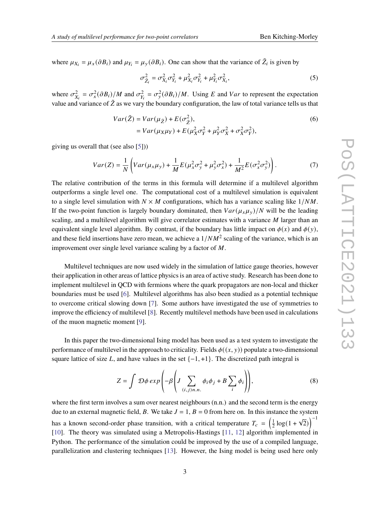where  $\mu_{X_i} = \mu_X(\partial B_i)$  and  $\mu_{Y_i} = \mu_Y(\partial B_i)$ . One can show that the variance of  $\tilde{Z}_i$  is given by

<span id="page-2-0"></span>
$$
\sigma_{\tilde{Z}_i}^2 = \sigma_{X_i}^2 \sigma_{Y_i}^2 + \mu_{X_i}^2 \sigma_{Y_i}^2 + \mu_{Y_i}^2 \sigma_{X_i}^2, \tag{5}
$$

where  $\sigma_{X_i}^2 = \sigma_x^2(\partial B_i)/M$  and  $\sigma_{Y_i}^2 = \sigma_y^2(\partial B_i)/M$ . Using E and Var to represent the expectation value and variance of  $\tilde{Z}$  as we vary the boundary configuration, the law of total variance tells us that

$$
Var(\tilde{Z}) = Var(\mu_{\tilde{Z}}) + E(\sigma_{\tilde{Z}}^2),
$$
  
=  $Var(\mu_X \mu_Y) + E(\mu_X^2 \sigma_Y^2 + \mu_Y^2 \sigma_X^2 + \sigma_X^2 \sigma_Y^2),$  (6)

giving us overall that (see also [\[5\]](#page-8-4)))

$$
Var(Z) = \frac{1}{N} \left( Var(\mu_x \mu_y) + \frac{1}{M} E(\mu_x^2 \sigma_y^2 + \mu_y^2 \sigma_x^2) + \frac{1}{M^2} E(\sigma_x^2 \sigma_y^2) \right). \tag{7}
$$

The relative contribution of the terms in this formula will determine if a multilevel algorithm outperforms a single level one. The computational cost of a multilevel simulation is equivalent to a single level simulation with  $N \times M$  configurations, which has a variance scaling like  $1/NM$ . If the two-point function is largely boundary dominated, then  $Var(\mu_x \mu_y)/N$  will be the leading scaling, and a multilevel algorithm will give correlator estimates with a variance  $M$  larger than an equivalent single level algorithm. By contrast, if the boundary has little impact on  $\phi(x)$  and  $\phi(y)$ , and these field insertions have zero mean, we achieve a  $1/NM^2$  scaling of the variance, which is an improvement over single level variance scaling by a factor of  $M$ .

Multilevel techniques are now used widely in the simulation of lattice gauge theories, however their application in other areas of lattice physics is an area of active study. Research has been done to implement multilevel in QCD with fermions where the quark propagators are non-local and thicker boundaries must be used [\[6\]](#page-8-5). Multilevel algorithms has also been studied as a potential technique to overcome critical slowing down [\[7\]](#page-8-6). Some authors have investigated the use of symmetries to improve the efficiency of multilevel [\[8\]](#page-8-7). Recently multilevel methods have been used in calculations of the muon magnetic moment [\[9\]](#page-8-8).

In this paper the two-dimensional Ising model has been used as a test system to investigate the performance of multilevel in the approach to criticality. Fields  $\phi((x, y))$  populate a two-dimensional square lattice of size L, and have values in the set  $\{-1, +1\}$ . The discretized path integral is

$$
Z = \int \mathcal{D}\phi \exp\left(-\beta \left(J \sum_{(i,j)n.n.} \phi_i \phi_j + B \sum_i \phi_i\right)\right),\tag{8}
$$

where the first term involves a sum over nearest neighbours  $(n,n)$  and the second term is the energy due to an external magnetic field, B. We take  $J = 1$ ,  $B = 0$  from here on. In this instance the system has a known second-order phase transition, with a critical temperature  $T_c = \left(\frac{1}{2}\right)^2$  $\frac{1}{2} \log(1 +$ √  $\left( \overline{2}\right)$ <sup>-1</sup> [\[10\]](#page-8-9). The theory was simulated using a Metropolis-Hastings [\[11,](#page-8-10) [12\]](#page-8-11) algorithm implemented in Python. The performance of the simulation could be improved by the use of a compiled language, parallelization and clustering techniques [\[13\]](#page-8-12). However, the Ising model is being used here only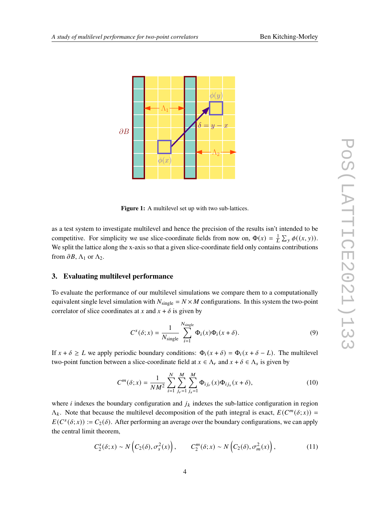

Figure 1: A multilevel set up with two sub-lattices.

as a test system to investigate multilevel and hence the precision of the results isn't intended to be competitive. For simplicity we use slice-coordinate fields from now on,  $\Phi(x) = \frac{1}{L} \sum_{y} \phi((x, y))$ . We split the lattice along the x-axis so that a given slice-coordinate field only contains contributions from  $\partial B$ ,  $\Lambda_1$  or  $\Lambda_2$ .

#### **3. Evaluating multilevel performance**

To evaluate the performance of our multilevel simulations we compare them to a computationally equivalent single level simulation with  $N_{single} = N \times M$  configurations. In this system the two-point correlator of slice coordinates at x and  $x + \delta$  is given by

$$
C^{s}(\delta; x) = \frac{1}{N_{\text{single}}} \sum_{i=1}^{N_{\text{single}}} \Phi_{i}(x) \Phi_{i}(x+\delta).
$$
 (9)

If  $x + \delta \geq L$  we apply periodic boundary conditions:  $\Phi_i(x + \delta) = \Phi_i(x + \delta - L)$ . The multilevel two-point function between a slice-coordinate field at  $x \in \Lambda_r$  and  $x + \delta \in \Lambda_s$  is given by

$$
C^{m}(\delta; x) = \frac{1}{NM^2} \sum_{i=1}^{N} \sum_{j_r=1}^{M} \sum_{j_s=1}^{M} \Phi_{ij_r}(x) \Phi_{ij_s}(x + \delta),
$$
 (10)

where *i* indexes the boundary configuration and  $j_k$  indexes the sub-lattice configuration in region  $\Lambda_k$ . Note that because the multilevel decomposition of the path integral is exact,  $E(C^m(\delta; x))$  =  $E(C<sup>s</sup>(\delta; x)) := C<sub>2</sub>(\delta)$ . After performing an average over the boundary configurations, we can apply the central limit theorem,

$$
C_2^s(\delta; x) \sim N\left(C_2(\delta), \sigma_s^2(x)\right), \qquad C_2^m(\delta; x) \sim N\left(C_2(\delta), \sigma_m^2(x)\right), \tag{11}
$$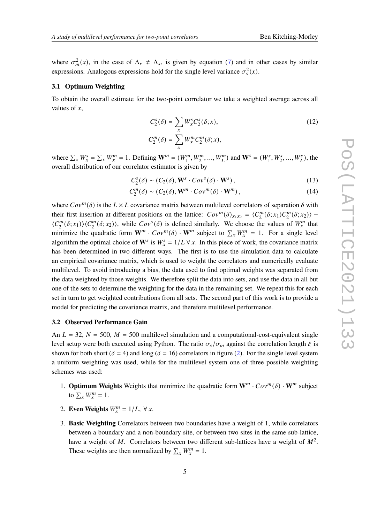where  $\sigma_m^2(x)$ , in the case of  $\Lambda_r \neq \Lambda_s$ , is given by equation [\(7\)](#page-2-0) and in other cases by similar expressions. Analogous expressions hold for the single level variance  $\sigma_s^2(x)$ .

#### **3.1 Optimum Weighting**

To obtain the overall estimate for the two-point correlator we take a weighted average across all values of  $x$ ,

$$
C_2^s(\delta) = \sum_x W_x^s C_2^s(\delta; x),
$$
  
\n
$$
C_2^m(\delta) = \sum_x W_x^m C_2^m(\delta; x),
$$
\n(12)

where  $\sum_{x} W_x^s = \sum_{x} W_x^m = 1$ . Defining  $\mathbf{W}^m = (W_1^m, W_2^m, ..., W_L^m)$  and  $\mathbf{W}^s = (W_1^s, W_2^s, ..., W_L^s)$ , the overall distribution of our correlator estimator is given by

$$
C_2^s(\delta) \sim (C_2(\delta), \mathbf{W}^s \cdot Cov^s(\delta) \cdot \mathbf{W}^s), \qquad (13)
$$

$$
C_2^m(\delta) \sim (C_2(\delta), \mathbf{W}^m \cdot Cov^m(\delta) \cdot \mathbf{W}^m), \qquad (14)
$$

where  $Cov^m(\delta)$  is the  $L \times L$  covariance matrix between multilevel correlators of separation  $\delta$  with their first insertion at different positions on the lattice:  $Cov^m(\delta)_{x_1x_2} = \langle C_2^m \rangle$  $2^m_2(\delta; x_1) C_2^m$  $\binom{m}{2}(\delta; x_2)$  –  $\langle C_2^m$  $\binom{m}{2}(\delta; x_1) \rangle \langle C_2^m$  $Z_2^m(\delta; x_2)$ , while  $Cov^s(\delta)$  is defined similarly. We choose the values of  $W_x^m$  that minimize the quadratic form  $W^m \cdot Cov^m(\delta) \cdot W^m$  subject to  $\sum_x W_x^m = 1$ . For a single level algorithm the optimal choice of  $W^s$  is  $W^s = 1/L \forall x$ . In this piece of work, the covariance matrix has been determined in two different ways. The first is to use the simulation data to calculate an empirical covariance matrix, which is used to weight the correlators and numerically evaluate multilevel. To avoid introducing a bias, the data used to find optimal weights was separated from the data weighted by those weights. We therefore split the data into sets, and use the data in all but one of the sets to determine the weighting for the data in the remaining set. We repeat this for each set in turn to get weighted contributions from all sets. The second part of this work is to provide a model for predicting the covariance matrix, and therefore multilevel performance.

#### **3.2 Observed Performance Gain**

An  $L = 32$ ,  $N = 500$ ,  $M = 500$  multilevel simulation and a computational-cost-equivalent single level setup were both executed using Python. The ratio  $\sigma_s/\sigma_m$  against the correlation length  $\xi$  is shown for both short ( $\delta = 4$ ) and long ( $\delta = 16$ ) correlators in figure [\(2\)](#page-5-0). For the single level system a uniform weighting was used, while for the multilevel system one of three possible weighting schemes was used:

- 1. **Optimum Weights** Weights that minimize the quadratic form  $W^m \cdot Cov^m(\delta) \cdot W^m$  subject to  $\sum_{x} W_x^m = 1$ .
- 2. **Even Weights**  $W_x^m = 1/L$ ,  $\forall x$ .
- 3. **Basic Weighting** Correlators between two boundaries have a weight of 1, while correlators between a boundary and a non-boundary site, or between two sites in the same sub-lattice, have a weight of M. Correlators between two different sub-lattices have a weight of  $M^2$ . These weights are then normalized by  $\sum_{x} W_x^m = 1$ .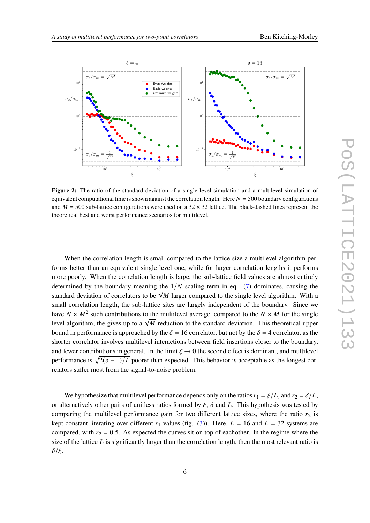<span id="page-5-0"></span>

**Figure 2:** The ratio of the standard deviation of a single level simulation and a multilevel simulation of equivalent computational time is shown against the correlation length. Here  $N = 500$  boundary configurations and  $M = 500$  sub-lattice configurations were used on a 32  $\times$  32 lattice. The black-dashed lines represent the theoretical best and worst performance scenarios for multilevel.

When the correlation length is small compared to the lattice size a multilevel algorithm performs better than an equivalent single level one, while for larger correlation lengths it performs more poorly. When the correlation length is large, the sub-lattice field values are almost entirely determined by the boundary meaning the  $1/N$  scaling term in eq. [\(7\)](#page-2-0) dominates, causing the standard deviation of correlators to be  $\sqrt{M}$  larger compared to the single level algorithm. With a small correlation length, the sub-lattice sites are largely independent of the boundary. Since we have  $N \times M^2$  such contributions to the multilevel average, compared to the  $N \times M$  for the single level algorithm, the gives up to a  $\sqrt{M}$  reduction to the standard deviation. This theoretical upper level algorithm, the gives up to a  $\sqrt{M}$  reduction to the standard deviation. This theoretical upper bound in performance is approached by the  $\delta = 16$  correlator, but not by the  $\delta = 4$  correlator, as the shorter correlator involves multilevel interactions between field insertions closer to the boundary, and fewer contributions in general. In the limit  $\xi \rightarrow 0$  the second effect is dominant, and multilevel performance is  $\sqrt{2(\delta-1)/L}$  poorer than expected. This behavior is acceptable as the longest correlators suffer most from the signal-to-noise problem.

We hypothesize that multilevel performance depends only on the ratios  $r_1 = \xi/L$ , and  $r_2 = \delta/L$ , or alternatively other pairs of unitless ratios formed by  $\xi$ ,  $\delta$  and L. This hypothesis was tested by comparing the multilevel performance gain for two different lattice sizes, where the ratio  $r_2$  is kept constant, iterating over different  $r_1$  values (fig. [\(3\)](#page-6-0)). Here,  $L = 16$  and  $L = 32$  systems are compared, with  $r_2 = 0.5$ . As expected the curves sit on top of eachother. In the regime where the size of the lattice  $L$  is significantly larger than the correlation length, then the most relevant ratio is  $\delta/\xi$ .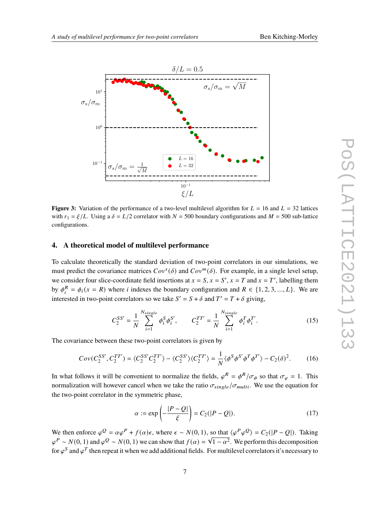<span id="page-6-0"></span>

**Figure 3:** Variation of the performance of a two-level multilevel algorithm for  $L = 16$  and  $L = 32$  lattices with  $r_1 = \xi/L$ . Using a  $\delta = L/2$  correlator with  $N = 500$  boundary configurations and  $M = 500$  sub-lattice configurations.

#### **4. A theoretical model of multilevel performance**

To calculate theoretically the standard deviation of two-point correlators in our simulations, we must predict the covariance matrices  $Cov^s(\delta)$  and  $Cov^m(\delta)$ . For example, in a single level setup, we consider four slice-coordinate field insertions at  $x = S$ ,  $x = S'$ ,  $x = T$  and  $x = T'$ , labelling them by  $\phi_i^R = \phi_i(x = R)$  where *i* indexes the boundary configuration and  $R \in \{1, 2, 3, ..., L\}$ . We are interested in two-point correlators so we take  $S' = S + \delta$  and  $T' = T + \delta$  giving,

$$
C_2^{SS'} = \frac{1}{N} \sum_{i=1}^{N_{single}} \phi_i^S \phi_i^{S'}, \qquad C_2^{TT'} = \frac{1}{N} \sum_{i=1}^{N_{single}} \phi_i^T \phi_i^{T'}.
$$
 (15)

The covariance between these two-point correlators is given by

$$
Cov(C_2^{SS'}, C_2^{TT'}) = \langle C_2^{SS'} C_2^{TT'} \rangle - \langle C_2^{SS'} \rangle \langle C_2^{TT'} \rangle = \frac{1}{N} \langle \phi^S \phi^{S'} \phi^T \phi^{T'} \rangle - C_2(\delta)^2. \tag{16}
$$

In what follows it will be convenient to normalize the fields,  $\varphi^R = \varphi^R / \sigma_{\phi}$  so that  $\sigma_{\varphi} = 1$ . This normalization will however cancel when we take the ratio  $\sigma_{single}/\sigma_{multi}$ . We use the equation for the two-point correlator in the symmetric phase,

$$
\alpha := \exp\left(-\frac{|P-Q|}{\xi}\right) = C_2(|P-Q|). \tag{17}
$$

We then enforce  $\varphi^Q = \alpha \varphi^P + f(\alpha)\epsilon$ , where  $\epsilon \sim N(0, 1)$ , so that  $\langle \varphi^P \varphi^Q \rangle = C_2(|P - Q|)$ . Taking  $\varphi^P \sim N(0, 1)$  and  $\varphi^Q \sim N(0, 1)$  we can show that  $f(\alpha) = \sqrt{1 - \alpha^2}$ . We perform this decomposition for  $\varphi^S$  and  $\varphi^T$  then repeat it when we add additional fields. For multilevel correlators it's necessary to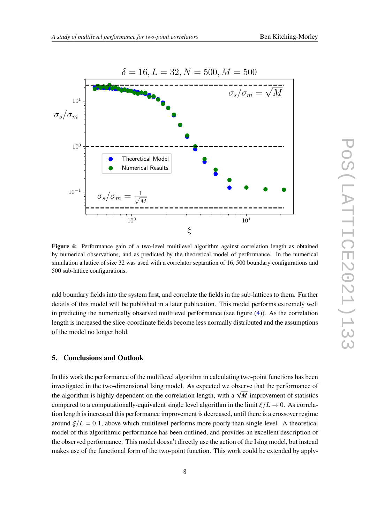<span id="page-7-0"></span>

**Figure 4:** Performance gain of a two-level multilevel algorithm against correlation length as obtained by numerical observations, and as predicted by the theoretical model of performance. In the numerical simulation a lattice of size 32 was used with a correlator separation of 16, 500 boundary configurations and 500 sub-lattice configurations.

add boundary fields into the system first, and correlate the fields in the sub-lattices to them. Further details of this model will be published in a later publication. This model performs extremely well in predicting the numerically observed multilevel performance (see figure  $(4)$ ). As the correlation length is increased the slice-coordinate fields become less normally distributed and the assumptions of the model no longer hold.

### **5. Conclusions and Outlook**

In this work the performance of the multilevel algorithm in calculating two-point functions has been investigated in the two-dimensional Ising model. As expected we observe that the performance of the algorithm is highly dependent on the correlation length, with a  $\sqrt{M}$  improvement of statistics compared to a computationally-equivalent single level algorithm in the limit  $\zeta/L \rightarrow 0$ . As correlation length is increased this performance improvement is decreased, until there is a crossover regime around  $\zeta/L = 0.1$ , above which multilevel performs more poorly than single level. A theoretical model of this algorithmic performance has been outlined, and provides an excellent description of the observed performance. This model doesn't directly use the action of the Ising model, but instead makes use of the functional form of the two-point function. This work could be extended by apply-